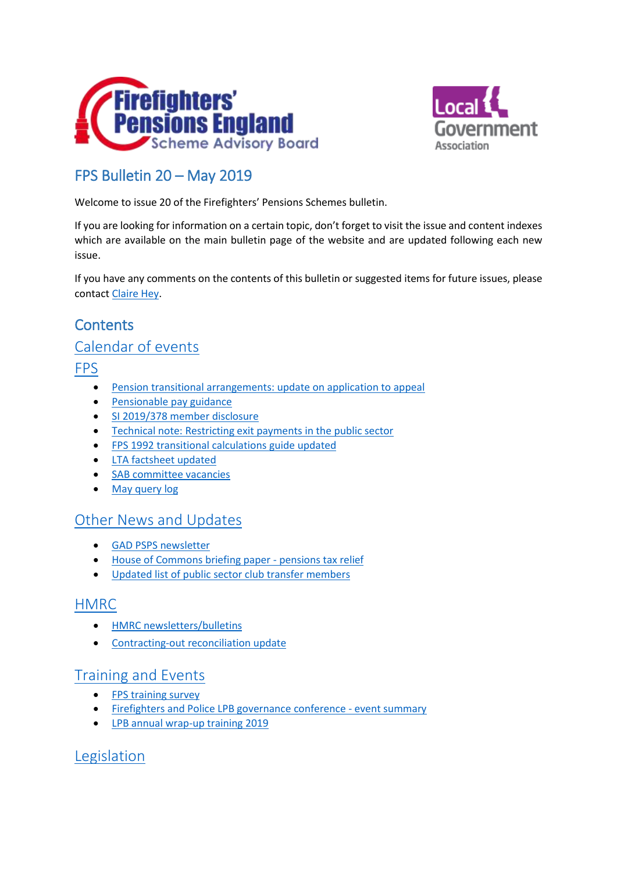



# FPS Bulletin 20 – May 2019

Welcome to issue 20 of the Firefighters' Pensions Schemes bulletin.

If you are looking for information on a certain topic, don't forget to visit the issue and content indexes which are available on the main bulletin page of the website and are updated following each new issue.

If you have any comments on the contents of this bulletin or suggested items for future issues, please contact [Claire Hey.](mailto:claire.hey@local.gov.uk)

# <span id="page-0-0"></span>**Contents**

### [Calendar of events](#page-1-0)

[FPS](#page-2-0)

- [Pension transitional arrangements: update on application to appeal](#page-2-1)
- **•** [Pensionable pay guidance](#page-2-2)
- [SI 2019/378 member disclosure](#page-2-3)
- Technical [note: Restricting exit payments in the public sector](#page-2-4)
- [FPS 1992 transitional calculations](#page-3-0) guide updated
- [LTA factsheet updated](#page-3-1)
- SAB [committee vacancies](#page-3-2)
- [May query log](#page-3-3)

### Other News [and Updates](#page-4-0)

- **[GAD PSPS newsletter](#page-4-1)**
- [House of Commons briefing paper -](#page-4-2) pensions tax relief
- [Updated list of public sector club transfer members](#page-4-3)

### [HMRC](#page-4-4)

- **•** [HMRC newsletters/bulletins](#page-4-5)
- **•** [Contracting-out reconciliation update](#page-4-6)

### [Training and Events](#page-5-0)

- [FPS training survey](#page-5-1)
- [Firefighters and Police LPB governance conference -](#page-5-2) event summary
- [LPB annual wrap-up training 2019](#page-7-0)

### [Legislation](#page-7-1)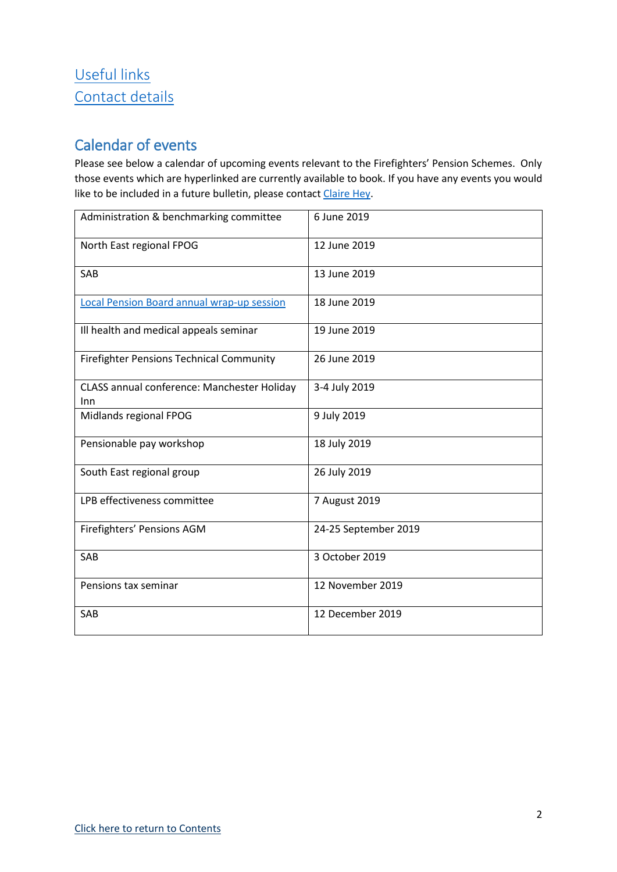# [Useful links](#page-8-0) [Contact details](#page-8-1)

# <span id="page-1-0"></span>Calendar of events

Please see below a calendar of upcoming events relevant to the Firefighters' Pension Schemes. Only those events which are hyperlinked are currently available to book. If you have any events you would like to be included in a future bulletin, please contact [Claire Hey.](mailto:claire.hey@local.gov.uk)

| Administration & benchmarking committee            | 6 June 2019          |
|----------------------------------------------------|----------------------|
| North East regional FPOG                           | 12 June 2019         |
| SAB                                                | 13 June 2019         |
| Local Pension Board annual wrap-up session         | 18 June 2019         |
| Ill health and medical appeals seminar             | 19 June 2019         |
| <b>Firefighter Pensions Technical Community</b>    | 26 June 2019         |
| CLASS annual conference: Manchester Holiday<br>Inn | 3-4 July 2019        |
| Midlands regional FPOG                             | 9 July 2019          |
| Pensionable pay workshop                           | 18 July 2019         |
| South East regional group                          | 26 July 2019         |
| LPB effectiveness committee                        | 7 August 2019        |
| Firefighters' Pensions AGM                         | 24-25 September 2019 |
| SAB                                                | 3 October 2019       |
| Pensions tax seminar                               | 12 November 2019     |
| <b>SAB</b>                                         | 12 December 2019     |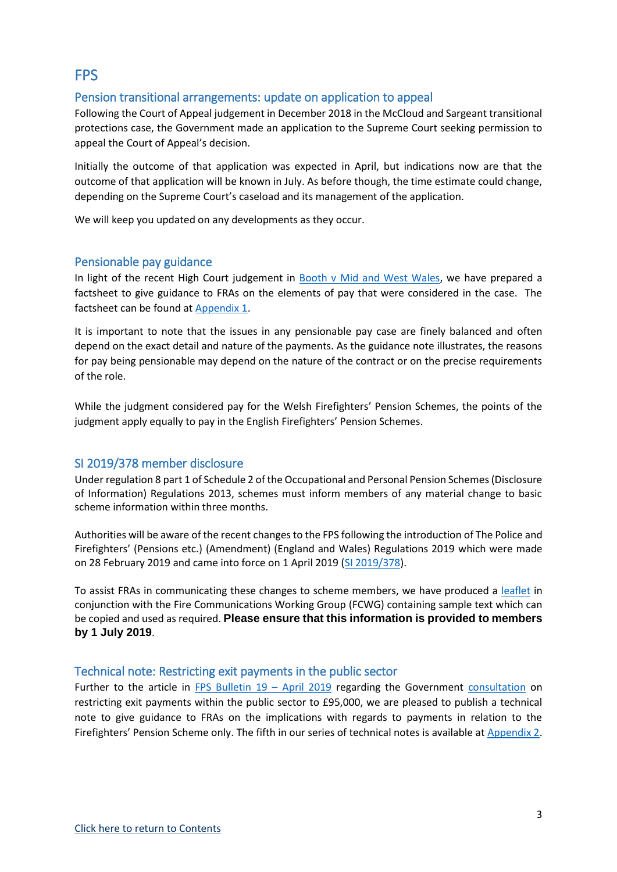# <span id="page-2-0"></span>**FPS**

### <span id="page-2-1"></span>Pension transitional arrangements: update on application to appeal

Following the Court of Appeal judgement in December 2018 in the McCloud and Sargeant transitional protections case, the Government made an application to the Supreme Court seeking permission to appeal the Court of Appeal's decision.

Initially the outcome of that application was expected in April, but indications now are that the outcome of that application will be known in July. As before though, the time estimate could change, depending on the Supreme Court's caseload and its management of the application.

We will keep you updated on any developments as they occur.

### <span id="page-2-2"></span>Pensionable pay guidance

In light of the recent High Court judgement in [Booth v Mid and West Wales,](http://fpsregs.org/images/Legal/Caselaw/BoothvMWWFRA.pdf) we have prepared a factsheet to give guidance to FRAs on the elements of pay that were considered in the case. The factsheet can be found a[t Appendix 1.](http://www.fpsboard.org/images/PDF/Bulletin20/Appendix1.pdf)

It is important to note that the issues in any pensionable pay case are finely balanced and often depend on the exact detail and nature of the payments. As the guidance note illustrates, the reasons for pay being pensionable may depend on the nature of the contract or on the precise requirements of the role.

While the judgment considered pay for the Welsh Firefighters' Pension Schemes, the points of the judgment apply equally to pay in the English Firefighters' Pension Schemes.

### <span id="page-2-3"></span>SI 2019/378 member disclosure

Under regulation 8 part 1 of Schedule 2 of the Occupational and Personal Pension Schemes (Disclosure of Information) Regulations 2013, schemes must inform members of any material change to basic scheme information within three months.

Authorities will be aware of the recent changes to the FPS following the introduction of The Police and Firefighters' (Pensions etc.) (Amendment) (England and Wales) Regulations 2019 which were made on 28 February 2019 and came into force on 1 April 2019 [\(SI 2019/378\)](http://www.legislation.gov.uk/uksi/2019/378/part/3/made).

To assist FRAs in communicating these changes to scheme members, we have produced a [leaflet](http://fpsregs.org/images/admin/SI2019-378disclosure.docx) in conjunction with the Fire Communications Working Group (FCWG) containing sample text which can be copied and used as required. **Please ensure that this information is provided to members by 1 July 2019**.

#### <span id="page-2-4"></span>Technical note: Restricting exit payments in the public sector

Further to the article in [FPS Bulletin 19](http://www.fpsboard.org/images/PDF/Bulletin19/Bulletin19.pdf) – April 2019 regarding the Government [consultation](https://www.gov.uk/government/consultations/restricting-exit-payments-in-the-public-sector) on restricting exit payments within the public sector to £95,000, we are pleased to publish a technical note to give guidance to FRAs on the implications with regards to payments in relation to the Firefighters' Pension Scheme only. The fifth in our series of technical notes is available at [Appendix 2.](http://www.fpsboard.org/images/PDF/Bulletin20/Appendix2.pdf)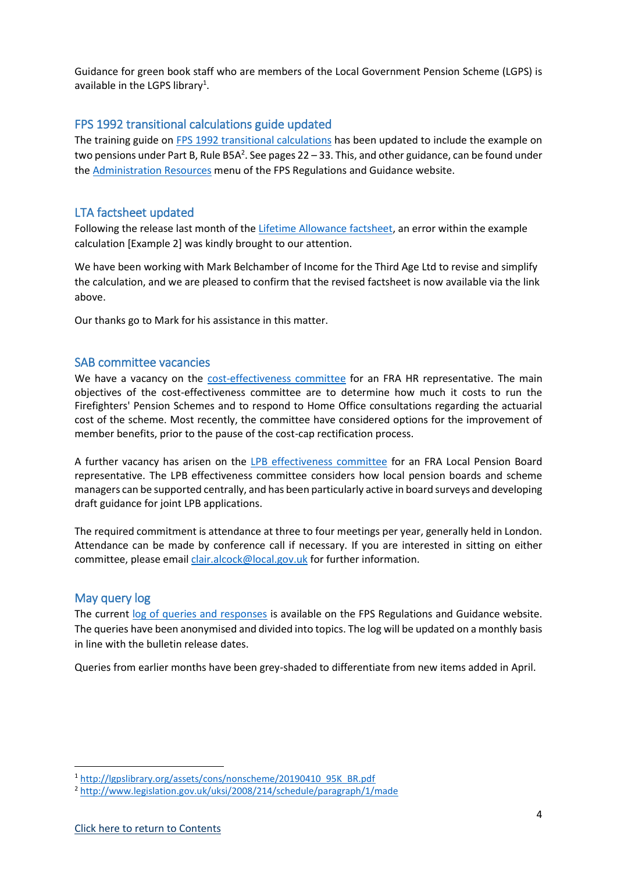Guidance for green book staff who are members of the Local Government Pension Scheme (LGPS) is available in the LGPS library<sup>1</sup>.

### <span id="page-3-0"></span>FPS 1992 transitional calculations guide updated

The training guide on [FPS 1992 transitional calculations](http://fpsregs.org/images/admin/1992transition300519.pdf) has been updated to include the example on two pensions under Part B, Rule B5A<sup>2</sup>. See pages 22 – 33. This, and other guidance, can be found under th[e Administration Resources](http://fpsregs.org/index.php/administration-resources/) menu of the FPS Regulations and Guidance website.

### <span id="page-3-1"></span>LTA factsheet updated

Following the release last month of th[e Lifetime Allowance factsheet,](http://fpsregs.org/images/admin/LTAv1.2.docx) an error within the example calculation [Example 2] was kindly brought to our attention.

We have been working with Mark Belchamber of Income for the Third Age Ltd to revise and simplify the calculation, and we are pleased to confirm that the revised factsheet is now available via the link above.

Our thanks go to Mark for his assistance in this matter.

#### <span id="page-3-2"></span>SAB committee vacancies

We have a vacancy on the [cost-effectiveness](http://www.fpsboard.org/index.php/board-committees/cost-effectiveness) committee for an FRA HR representative. The main objectives of the cost-effectiveness committee are to determine how much it costs to run the Firefighters' Pension Schemes and to respond to Home Office consultations regarding the actuarial cost of the scheme. Most recently, the committee have considered options for the improvement of member benefits, prior to the pause of the cost-cap rectification process.

A further vacancy has arisen on the [LPB effectiveness committee](http://www.fpsboard.org/index.php/board-committees/local-pension-board-effectiveness) for an FRA Local Pension Board representative. The LPB effectiveness committee considers how local pension boards and scheme managers can be supported centrally, and has been particularly active in board surveys and developing draft guidance for joint LPB applications.

The required commitment is attendance at three to four meetings per year, generally held in London. Attendance can be made by conference call if necessary. If you are interested in sitting on either committee, please emai[l clair.alcock@local.gov.uk](mailto:clair.alcock@local.gov.uk) for further information.

### <span id="page-3-3"></span>May query log

**.** 

The current [log of queries and responses](http://fpsregs.org/images/admin/Querylog310519.pdf) is available on the FPS Regulations and Guidance website. The queries have been anonymised and divided into topics. The log will be updated on a monthly basis in line with the bulletin release dates.

Queries from earlier months have been grey-shaded to differentiate from new items added in April.

<sup>1</sup> [http://lgpslibrary.org/assets/cons/nonscheme/20190410\\_95K\\_BR.pdf](http://lgpslibrary.org/assets/cons/nonscheme/20190410_95K_BR.pdf)

<sup>2</sup> <http://www.legislation.gov.uk/uksi/2008/214/schedule/paragraph/1/made>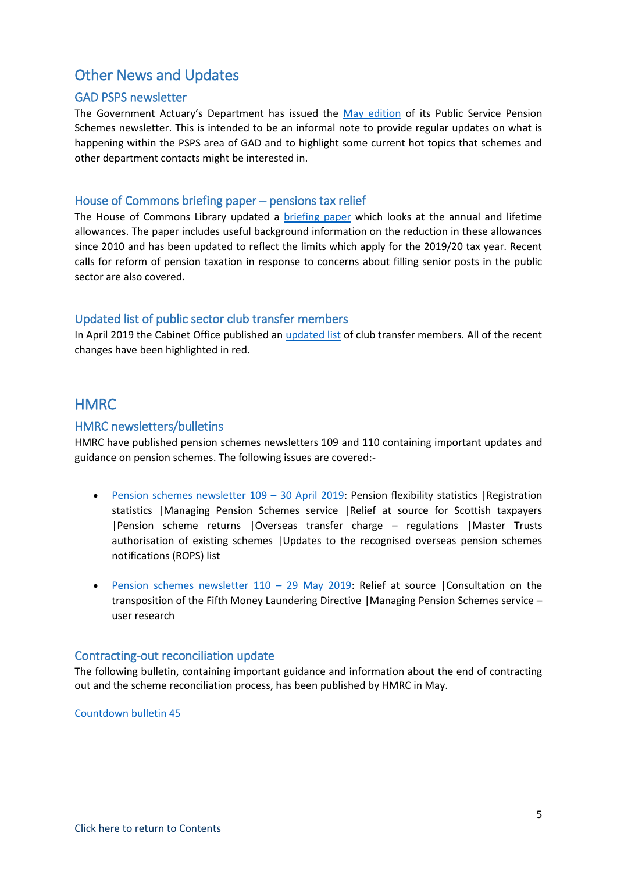### <span id="page-4-0"></span>Other News and Updates

### <span id="page-4-1"></span>GAD PSPS newsletter

The Government Actuary's Department has issued the [May edition](http://fpsregs.org/images/GAD/GADnewsletterMay19.pdf) of its Public Service Pension Schemes newsletter. This is intended to be an informal note to provide regular updates on what is happening within the PSPS area of GAD and to highlight some current hot topics that schemes and other department contacts might be interested in.

#### <span id="page-4-2"></span>House of Commons briefing paper – pensions tax relief

The House of Commons Library updated a [briefing paper](https://researchbriefings.parliament.uk/ResearchBriefing/Summary/SN05901) which looks at the annual and lifetime allowances. The paper includes useful background information on the reduction in these allowances since 2010 and has been updated to reflect the limits which apply for the 2019/20 tax year. Recent calls for reform of pension taxation in response to concerns about filling senior posts in the public sector are also covered.

### <span id="page-4-3"></span>Updated list of public sector club transfer members

In April 2019 the Cabinet Office published an [updated list](https://www.civilservicepensionscheme.org.uk/media/485979/club-list-april-2019.pdf) of club transfer members. All of the recent changes have been highlighted in red.

### <span id="page-4-4"></span>**HMRC**

### <span id="page-4-5"></span>HMRC newsletters/bulletins

HMRC have published pension schemes newsletters 109 and 110 containing important updates and guidance on pension schemes. The following issues are covered:-

- Pension schemes newsletter  $109 30$  April 2019: Pension flexibility statistics | Registration statistics |Managing Pension Schemes service |Relief at source for Scottish taxpayers |Pension scheme returns |Overseas transfer charge – regulations |Master Trusts authorisation of existing schemes |Updates to the recognised overseas pension schemes notifications (ROPS) list
- [Pension schemes newsletter 110](https://www.gov.uk/government/publications/pensions-schemes-newsletter-110-may-2019/pension-schemes-newsletter-110-may-2019)  29 May 2019: Relief at source |Consultation on the transposition of the Fifth Money Laundering Directive |Managing Pension Schemes service – user research

#### <span id="page-4-6"></span>Contracting-out reconciliation update

The following bulletin, containing important guidance and information about the end of contracting out and the scheme reconciliation process, has been published by HMRC in May.

[Countdown bulletin 45](https://www.gov.uk/government/publications/countdown-bulletin-45-may-2019/countdown-bulletin-45-may-2019)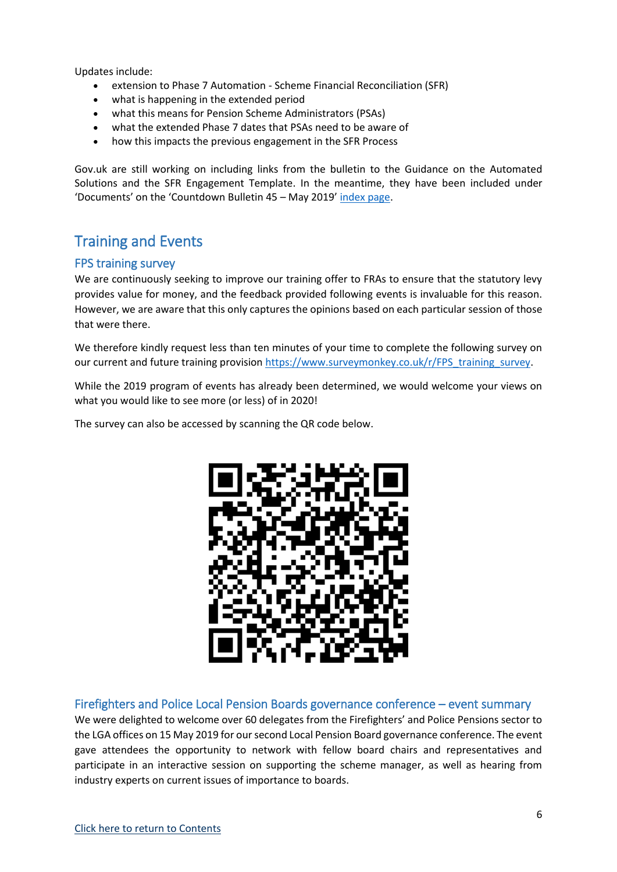Updates include:

- extension to Phase 7 Automation Scheme Financial Reconciliation (SFR)
- what is happening in the extended period
- what this means for Pension Scheme Administrators (PSAs)
- what the extended Phase 7 dates that PSAs need to be aware of
- how this impacts the previous engagement in the SFR Process

Gov.uk are still working on including links from the bulletin to the Guidance on the Automated Solutions and the SFR Engagement Template. In the meantime, they have been included under 'Documents' on the 'Countdown Bulletin 45 – May 2019' [index page.](https://www.gov.uk/government/publications/countdown-bulletin-45-may-2019)

# <span id="page-5-0"></span>Training and Events

### <span id="page-5-1"></span>FPS training survey

We are continuously seeking to improve our training offer to FRAs to ensure that the statutory levy provides value for money, and the feedback provided following events is invaluable for this reason. However, we are aware that this only captures the opinions based on each particular session of those that were there.

We therefore kindly request less than ten minutes of your time to complete the following survey on our current and future training provision [https://www.surveymonkey.co.uk/r/FPS\\_training\\_survey.](https://www.surveymonkey.co.uk/r/FPS_training_survey)

While the 2019 program of events has already been determined, we would welcome your views on what you would like to see more (or less) of in 2020!

The survey can also be accessed by scanning the QR code below.



#### <span id="page-5-2"></span>Firefighters and Police Local Pension Boards governance conference – event summary

We were delighted to welcome over 60 delegates from the Firefighters' and Police Pensions sector to the LGA offices on 15 May 2019 for our second Local Pension Board governance conference. The event gave attendees the opportunity to network with fellow board chairs and representatives and participate in an interactive session on supporting the scheme manager, as well as hearing from industry experts on current issues of importance to boards.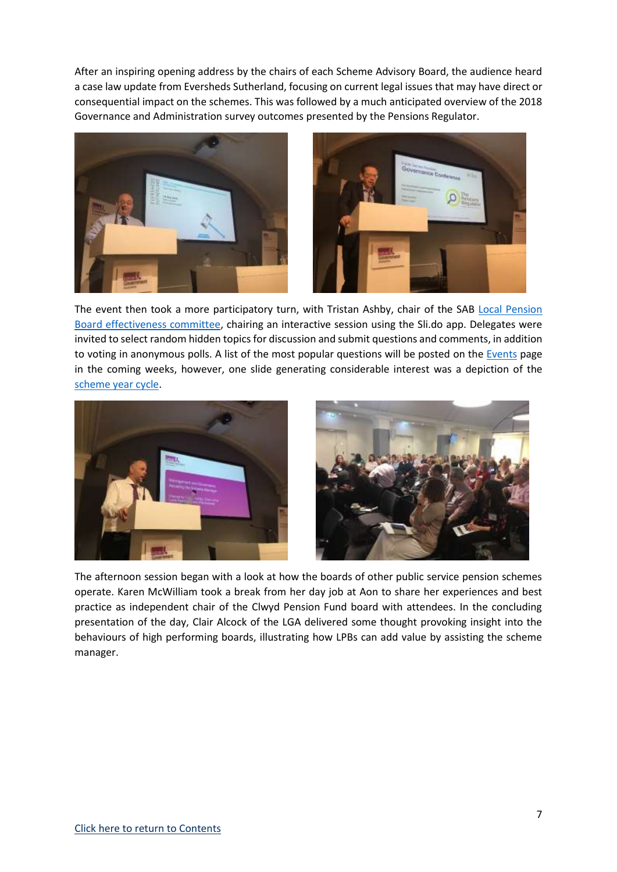After an inspiring opening address by the chairs of each Scheme Advisory Board, the audience heard a case law update from Eversheds Sutherland, focusing on current legal issues that may have direct or consequential impact on the schemes. This was followed by a much anticipated overview of the 2018 Governance and Administration survey outcomes presented by the Pensions Regulator.





The event then took a more participatory turn, with Tristan Ashby, chair of the SAB [Local Pension](http://www.fpsboard.org/index.php/board-committees/local-pension-board-effectiveness)  [Board effectiveness committee,](http://www.fpsboard.org/index.php/board-committees/local-pension-board-effectiveness) chairing an interactive session using the Sli.do app. Delegates were invited to select random hidden topics for discussion and submit questions and comments, in addition to voting in anonymous polls. A list of the most popular questions will be posted on the [Events](http://www.fpsboard.org/index.php/events) page in the coming weeks, however, one slide generating considerable interest was a depiction of the [scheme year cycle.](http://www.fpsboard.org/images/LPB/Resources/Schemeyear.pdf)





The afternoon session began with a look at how the boards of other public service pension schemes operate. Karen McWilliam took a break from her day job at Aon to share her experiences and best practice as independent chair of the Clwyd Pension Fund board with attendees. In the concluding presentation of the day, Clair Alcock of the LGA delivered some thought provoking insight into the behaviours of high performing boards, illustrating how LPBs can add value by assisting the scheme manager.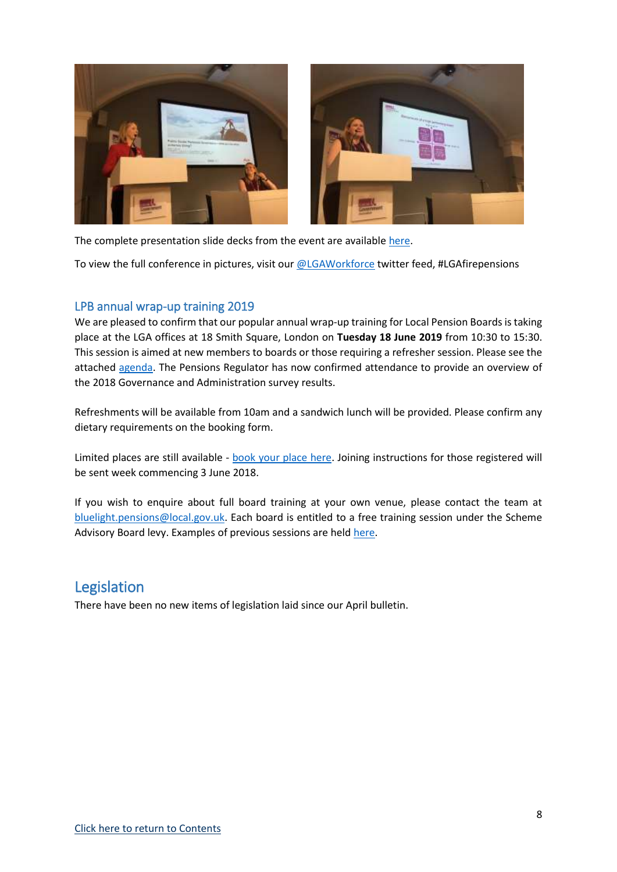

The complete presentation slide decks from the event are available [here.](https://www.local.gov.uk/firefighters-and-police-local-pension-boards-governance-conference-15-may-2019)

To view the full conference in pictures, visit our [@LGAWorkforce](https://twitter.com/LGAWorkforce) twitter feed, #LGAfirepensions

### <span id="page-7-0"></span>LPB annual wrap-up training 2019

We are pleased to confirm that our popular annual wrap-up training for Local Pension Boards is taking place at the LGA offices at 18 Smith Square, London on **Tuesday 18 June 2019** from 10:30 to 15:30. This session is aimed at new members to boards or those requiring a refresher session. Please see the attached [agenda.](http://www.fpsboard.org/images/PDF/Events/LPBagenda180619.pdf) The Pensions Regulator has now confirmed attendance to provide an overview of the 2018 Governance and Administration survey results.

Refreshments will be available from 10am and a sandwich lunch will be provided. Please confirm any dietary requirements on the booking form.

Limited places are still available - [book your place here.](http://www.meetomatic.com/respond.php?id=H1F7JH) Joining instructions for those registered will be sent week commencing 3 June 2018.

If you wish to enquire about full board training at your own venue, please contact the team at [bluelight.pensions@local.gov.uk.](mailto:bluelight.pensions@local.gov.uk) Each board is entitled to a free training session under the Scheme Advisory Board levy. Examples of previous sessions are held [here.](http://www.fpsboard.org/index.php/local-pension-boards/training)

### <span id="page-7-1"></span>Legislation

There have been no new items of legislation laid since our April bulletin.